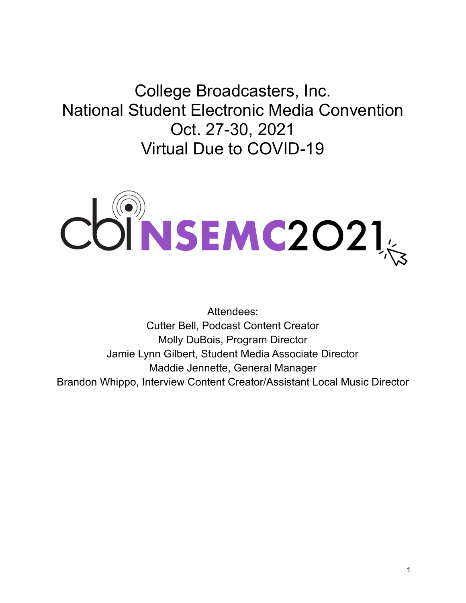# National Student Electronic Media Convention Oct. 27-30, 2021 Virtual Due to COVID-19 College Broadcasters, Inc.



 Cutter Bell, Podcast Content Creator Molly DuBois, Program Director Jamie Lynn Gilbert, Student Media Associate Director Maddie Jennette, General Manager Brandon Whippo, Interview Content Creator/Assistant Local Music Director Attendees: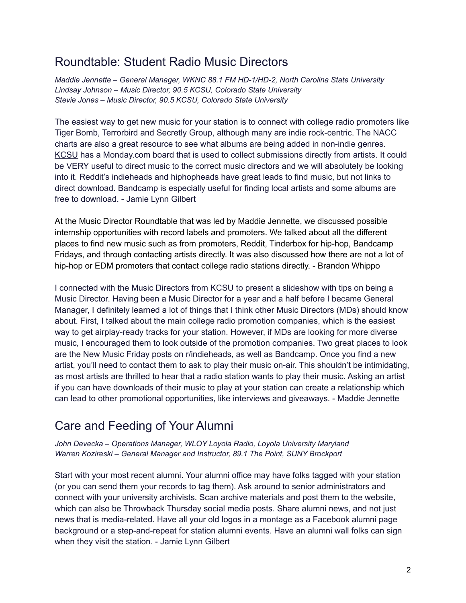#### Roundtable: Student Radio Music Directors

 *Maddie Jennette – General Manager, WKNC 88.1 FM HD-1/HD-2, North Carolina State University Lindsay Johnson – Music Director, 90.5 KCSU, Colorado State University Stevie Jones – Music Director, 90.5 KCSU, Colorado State University*

 The easiest way to get new music for your station is to connect with college radio promoters like Tiger Bomb, Terrorbird and Secretly Group, although many are indie rock-centric. The NACC charts are also a great resource to see what albums are being added in non-indie genres. [KCSU](http://kcsufm.com/submitmusic/) has a [Monday.com](https://Monday.com) board that is used to collect submissions directly from artists. It could be VERY useful to direct music to the correct music directors and we will absolutely be looking into it. Reddit's indieheads and hiphopheads have great leads to find music, but not links to direct download. Bandcamp is especially useful for finding local artists and some albums are free to download. - Jamie Lynn Gilbert

 At the Music Director Roundtable that was led by Maddie Jennette, we discussed possible internship opportunities with record labels and promoters. We talked about all the different places to find new music such as from promoters, Reddit, Tinderbox for hip-hop, Bandcamp Fridays, and through contacting artists directly. It was also discussed how there are not a lot of hip-hop or EDM promoters that contact college radio stations directly. - Brandon Whippo

 I connected with the Music Directors from KCSU to present a slideshow with tips on being a Music Director. Having been a Music Director for a year and a half before I became General Manager, I definitely learned a lot of things that I think other Music Directors (MDs) should know about. First, I talked about the main college radio promotion companies, which is the easiest way to get airplay-ready tracks for your station. However, if MDs are looking for more diverse music, I encouraged them to look outside of the promotion companies. Two great places to look are the New Music Friday posts on r/indieheads, as well as Bandcamp. Once you find a new artist, you'll need to contact them to ask to play their music on-air. This shouldn't be intimidating, as most artists are thrilled to hear that a radio station wants to play their music. Asking an artist if you can have downloads of their music to play at your station can create a relationship which can lead to other promotional opportunities, like interviews and giveaways. - Maddie Jennette

# Care and Feeding of Your Alumni

 *John Devecka – Operations Manager, WLOY Loyola Radio, Loyola University Maryland Warren Kozireski – General Manager and Instructor, 89.1 The Point, SUNY Brockport*

 Start with your most recent alumni. Your alumni office may have folks tagged with your station (or you can send them your records to tag them). Ask around to senior administrators and connect with your university archivists. Scan archive materials and post them to the website, which can also be Throwback Thursday social media posts. Share alumni news, and not just news that is media-related. Have all your old logos in a montage as a Facebook alumni page background or a step-and-repeat for station alumni events. Have an alumni wall folks can sign when they visit the station. - Jamie Lynn Gilbert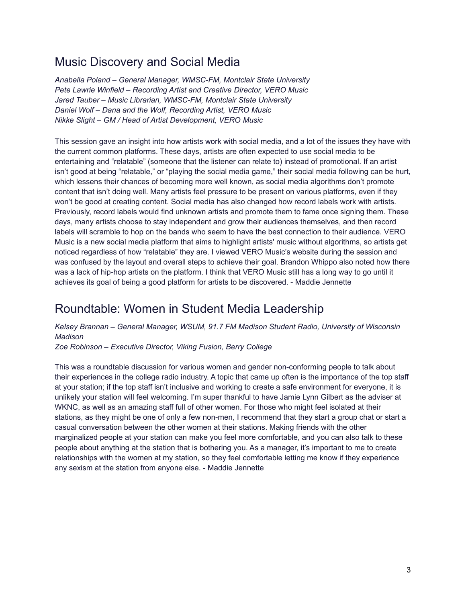#### Music Discovery and Social Media

 *Anabella Poland – General Manager, WMSC-FM, Montclair State University Pete Lawrie Winfield – Recording Artist and Creative Director, VERO Music Jared Tauber – Music Librarian, WMSC-FM, Montclair State University Daniel Wolf – Dana and the Wolf, Recording Artist, VERO Music Nikke Slight – GM / Head of Artist Development, VERO Music*

 This session gave an insight into how artists work with social media, and a lot of the issues they have with the current common platforms. These days, artists are often expected to use social media to be entertaining and "relatable" (someone that the listener can relate to) instead of promotional. If an artist isn't good at being "relatable," or "playing the social media game," their social media following can be hurt, which lessens their chances of becoming more well known, as social media algorithms don't promote content that isn't doing well. Many artists feel pressure to be present on various platforms, even if they won't be good at creating content. Social media has also changed how record labels work with artists. Previously, record labels would find unknown artists and promote them to fame once signing them. These days, many artists choose to stay independent and grow their audiences themselves, and then record labels will scramble to hop on the bands who seem to have the best connection to their audience. VERO Music is a new social media platform that aims to highlight artists' music without algorithms, so artists get noticed regardless of how "relatable" they are. I viewed VERO Music's website during the session and was confused by the layout and overall steps to achieve their goal. Brandon Whippo also noted how there was a lack of hip-hop artists on the platform. I think that VERO Music still has a long way to go until it achieves its goal of being a good platform for artists to be discovered. - Maddie Jennette

#### Roundtable: Women in Student Media Leadership

 *Kelsey Brannan – General Manager, WSUM, 91.7 FM Madison Student Radio, University of Wisconsin Madison*

 *Zoe Robinson – Executive Director, Viking Fusion, Berry College*

 This was a roundtable discussion for various women and gender non-conforming people to talk about their experiences in the college radio industry. A topic that came up often is the importance of the top staff at your station; if the top staff isn't inclusive and working to create a safe environment for everyone, it is unlikely your station will feel welcoming. I'm super thankful to have Jamie Lynn Gilbert as the adviser at WKNC, as well as an amazing staff full of other women. For those who might feel isolated at their stations, as they might be one of only a few non-men, I recommend that they start a group chat or start a casual conversation between the other women at their stations. Making friends with the other marginalized people at your station can make you feel more comfortable, and you can also talk to these people about anything at the station that is bothering you. As a manager, it's important to me to create relationships with the women at my station, so they feel comfortable letting me know if they experience any sexism at the station from anyone else. - Maddie Jennette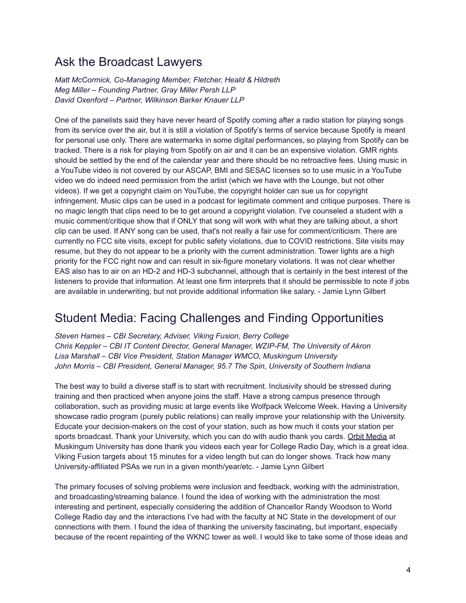#### Ask the Broadcast Lawyers

 *Matt McCormick, Co-Managing Member, Fletcher, Heald & Hildreth Meg Miller – Founding Partner, Gray Miller Persh LLP David Oxenford – Partner, Wilkinson Barker Knauer LLP*

 One of the panelists said they have never heard of Spotify coming after a radio station for playing songs from its service over the air, but it is still a violation of Spotify's terms of service because Spotify is meant for personal use only. There are watermarks in some digital performances, so playing from Spotify can be tracked. There is a risk for playing from Spotify on air and it can be an expensive violation. GMR rights should be settled by the end of the calendar year and there should be no retroactive fees. Using music in a YouTube video is not covered by our ASCAP, BMI and SESAC licenses so to use music in a YouTube video we do indeed need permission from the artist (which we have with the Lounge, but not other videos). If we get a copyright claim on YouTube, the copyright holder can sue us for copyright infringement. Music clips can be used in a podcast for legitimate comment and critique purposes. There is no magic length that clips need to be to get around a copyright violation. I've counseled a student with a music comment/critique show that if ONLY that song will work with what they are talking about, a short clip can be used. If ANY song can be used, that's not really a fair use for comment/criticism. There are currently no FCC site visits, except for public safety violations, due to COVID restrictions. Site visits may resume, but they do not appear to be a priority with the current administration. Tower lights are a high priority for the FCC right now and can result in six-figure monetary violations. It was not clear whether EAS also has to air on an HD-2 and HD-3 subchannel, although that is certainly in the best interest of the listeners to provide that information. At least one firm interprets that it should be permissible to note if jobs are available in underwriting, but not provide additional information like salary. - Jamie Lynn Gilbert

# Student Media: Facing Challenges and Finding Opportunities

 *Steven Hames – CBI Secretary, Adviser, Viking Fusion, Berry College Chris Keppler – CBI IT Content Director, General Manager, WZIP-FM, The University of Akron Lisa Marshall – CBI Vice President, Station Manager WMCO, Muskingum University John Morris – CBI President, General Manager, 95.7 The Spin, University of Southern Indiana*

 The best way to build a diverse staff is to start with recruitment. Inclusivity should be stressed during training and then practiced when anyone joins the staff. Have a strong campus presence through collaboration, such as providing music at large events like Wolfpack Welcome Week. Having a University showcase radio program (purely public relations) can really improve your relationship with the University. Educate your decision-makers on the cost of your station, such as how much it costs your station per sports broadcast. Thank your University, which you can do with audio thank you cards. Orbit [Media](https://youtu.be/snycfsc7wBQ) at Muskingum University has done thank you videos each year for College Radio Day, which is a great idea. Viking Fusion targets about 15 minutes for a video length but can do longer shows. Track how many University-affiliated PSAs we run in a given month/year/etc. - Jamie Lynn Gilbert

 The primary focuses of solving problems were inclusion and feedback, working with the administration, and broadcasting/streaming balance. I found the idea of working with the administration the most interesting and pertinent, especially considering the addition of Chancellor Randy Woodson to World College Radio day and the interactions I've had with the faculty at NC State in the development of our connections with them. I found the idea of thanking the university fascinating, but important, especially because of the recent repainting of the WKNC tower as well. I would like to take some of those ideas and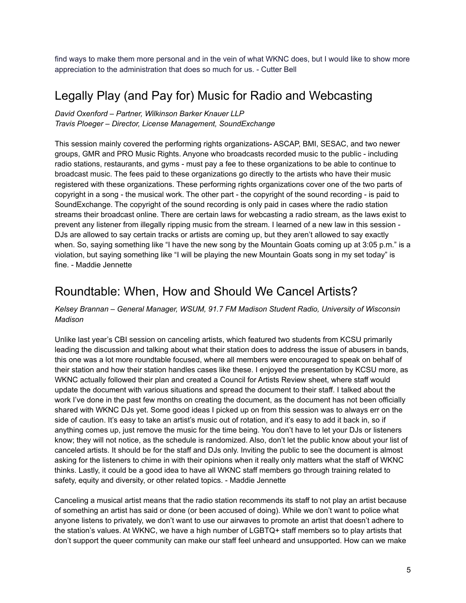find ways to make them more personal and in the vein of what WKNC does, but I would like to show more appreciation to the administration that does so much for us. - Cutter Bell

### Legally Play (and Pay for) Music for Radio and Webcasting

 *David Oxenford – Partner, Wilkinson Barker Knauer LLP Travis Ploeger – Director, License Management, SoundExchange*

 This session mainly covered the performing rights organizations- ASCAP, BMI, SESAC, and two newer groups, GMR and PRO Music Rights. Anyone who broadcasts recorded music to the public - including radio stations, restaurants, and gyms - must pay a fee to these organizations to be able to continue to broadcast music. The fees paid to these organizations go directly to the artists who have their music registered with these organizations. These performing rights organizations cover one of the two parts of copyright in a song - the musical work. The other part - the copyright of the sound recording - is paid to SoundExchange. The copyright of the sound recording is only paid in cases where the radio station streams their broadcast online. There are certain laws for webcasting a radio stream, as the laws exist to prevent any listener from illegally ripping music from the stream. I learned of a new law in this session - DJs are allowed to say certain tracks or artists are coming up, but they aren't allowed to say exactly when. So, saying something like "I have the new song by the Mountain Goats coming up at 3:05 p.m." is a violation, but saying something like "I will be playing the new Mountain Goats song in my set today" is fine. - Maddie Jennette

### Roundtable: When, How and Should We Cancel Artists?

#### *Kelsey Brannan – General Manager, WSUM, 91.7 FM Madison Student Radio, University of Wisconsin Madison*

 Unlike last year's CBI session on canceling artists, which featured two students from KCSU primarily leading the discussion and talking about what their station does to address the issue of abusers in bands, this one was a lot more roundtable focused, where all members were encouraged to speak on behalf of their station and how their station handles cases like these. I enjoyed the presentation by KCSU more, as WKNC actually followed their plan and created a Council for Artists Review sheet, where staff would update the document with various situations and spread the document to their staff. I talked about the work I've done in the past few months on creating the document, as the document has not been officially shared with WKNC DJs yet. Some good ideas I picked up on from this session was to always err on the side of caution. It's easy to take an artist's music out of rotation, and it's easy to add it back in, so if anything comes up, just remove the music for the time being. You don't have to let your DJs or listeners know; they will not notice, as the schedule is randomized. Also, don't let the public know about your list of canceled artists. It should be for the staff and DJs only. Inviting the public to see the document is almost asking for the listeners to chime in with their opinions when it really only matters what the staff of WKNC thinks. Lastly, it could be a good idea to have all WKNC staff members go through training related to safety, equity and diversity, or other related topics. - Maddie Jennette

 Canceling a musical artist means that the radio station recommends its staff to not play an artist because of something an artist has said or done (or been accused of doing). While we don't want to police what anyone listens to privately, we don't want to use our airwaves to promote an artist that doesn't adhere to the station's values. At WKNC, we have a high number of LGBTQ+ staff members so to play artists that don't support the queer community can make our staff feel unheard and unsupported. How can we make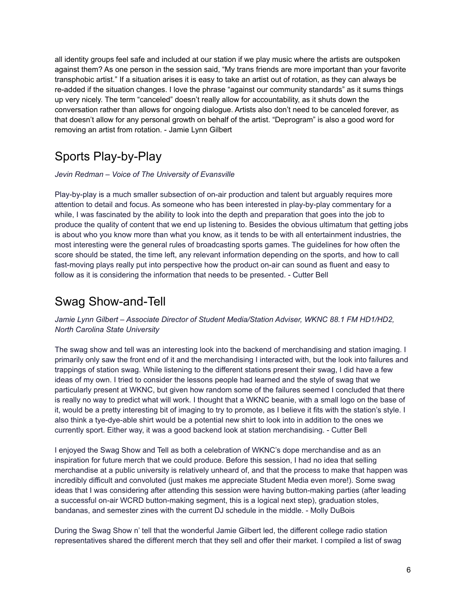all identity groups feel safe and included at our station if we play music where the artists are outspoken against them? As one person in the session said, "My trans friends are more important than your favorite transphobic artist." If a situation arises it is easy to take an artist out of rotation, as they can always be re-added if the situation changes. I love the phrase "against our community standards" as it sums things up very nicely. The term "canceled" doesn't really allow for accountability, as it shuts down the conversation rather than allows for ongoing dialogue. Artists also don't need to be canceled forever, as that doesn't allow for any personal growth on behalf of the artist. "Deprogram" is also a good word for removing an artist from rotation. - Jamie Lynn Gilbert

# Sports Play-by-Play

#### *Jevin Redman – Voice of The University of Evansville*

 Play-by-play is a much smaller subsection of on-air production and talent but arguably requires more attention to detail and focus. As someone who has been interested in play-by-play commentary for a while, I was fascinated by the ability to look into the depth and preparation that goes into the job to produce the quality of content that we end up listening to. Besides the obvious ultimatum that getting jobs is about who you know more than what you know, as it tends to be with all entertainment industries, the most interesting were the general rules of broadcasting sports games. The guidelines for how often the score should be stated, the time left, any relevant information depending on the sports, and how to call fast-moving plays really put into perspective how the product on-air can sound as fluent and easy to follow as it is considering the information that needs to be presented. - Cutter Bell

#### Swag Show-and-Tell

 *Jamie Lynn Gilbert – Associate Director of Student Media/Station Adviser, WKNC 88.1 FM HD1/HD2, North Carolina State University*

 The swag show and tell was an interesting look into the backend of merchandising and station imaging. I primarily only saw the front end of it and the merchandising I interacted with, but the look into failures and trappings of station swag. While listening to the different stations present their swag, I did have a few ideas of my own. I tried to consider the lessons people had learned and the style of swag that we particularly present at WKNC, but given how random some of the failures seemed I concluded that there is really no way to predict what will work. I thought that a WKNC beanie, with a small logo on the base of it, would be a pretty interesting bit of imaging to try to promote, as I believe it fits with the station's style. I also think a tye-dye-able shirt would be a potential new shirt to look into in addition to the ones we currently sport. Either way, it was a good backend look at station merchandising. - Cutter Bell

 I enjoyed the Swag Show and Tell as both a celebration of WKNC's dope merchandise and as an inspiration for future merch that we could produce. Before this session, I had no idea that selling merchandise at a public university is relatively unheard of, and that the process to make that happen was incredibly difficult and convoluted (just makes me appreciate Student Media even more!). Some swag ideas that I was considering after attending this session were having button-making parties (after leading a successful on-air WCRD button-making segment, this is a logical next step), graduation stoles, bandanas, and semester zines with the current DJ schedule in the middle. - Molly DuBois

 During the Swag Show n' tell that the wonderful Jamie Gilbert led, the different college radio station representatives shared the different merch that they sell and offer their market. I compiled a list of swag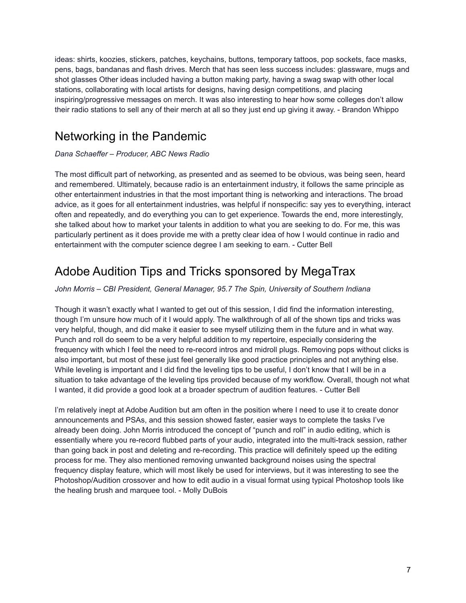ideas: shirts, koozies, stickers, patches, keychains, buttons, temporary tattoos, pop sockets, face masks, pens, bags, bandanas and flash drives. Merch that has seen less success includes: glassware, mugs and shot glasses Other ideas included having a button making party, having a swag swap with other local stations, collaborating with local artists for designs, having design competitions, and placing inspiring/progressive messages on merch. It was also interesting to hear how some colleges don't allow their radio stations to sell any of their merch at all so they just end up giving it away. - Brandon Whippo

# Networking in the Pandemic

#### *Dana Schaeffer – Producer, ABC News Radio*

 The most difficult part of networking, as presented and as seemed to be obvious, was being seen, heard and remembered. Ultimately, because radio is an entertainment industry, it follows the same principle as other entertainment industries in that the most important thing is networking and interactions. The broad advice, as it goes for all entertainment industries, was helpful if nonspecific: say yes to everything, interact often and repeatedly, and do everything you can to get experience. Towards the end, more interestingly, she talked about how to market your talents in addition to what you are seeking to do. For me, this was particularly pertinent as it does provide me with a pretty clear idea of how I would continue in radio and entertainment with the computer science degree I am seeking to earn. - Cutter Bell

# Adobe Audition Tips and Tricks sponsored by MegaTrax

#### *John Morris – CBI President, General Manager, 95.7 The Spin, University of Southern Indiana*

 Though it wasn't exactly what I wanted to get out of this session, I did find the information interesting, though I'm unsure how much of it I would apply. The walkthrough of all of the shown tips and tricks was very helpful, though, and did make it easier to see myself utilizing them in the future and in what way. Punch and roll do seem to be a very helpful addition to my repertoire, especially considering the frequency with which I feel the need to re-record intros and midroll plugs. Removing pops without clicks is also important, but most of these just feel generally like good practice principles and not anything else. While leveling is important and I did find the leveling tips to be useful, I don't know that I will be in a situation to take advantage of the leveling tips provided because of my workflow. Overall, though not what I wanted, it did provide a good look at a broader spectrum of audition features. - Cutter Bell

 I'm relatively inept at Adobe Audition but am often in the position where I need to use it to create donor announcements and PSAs, and this session showed faster, easier ways to complete the tasks I've already been doing. John Morris introduced the concept of "punch and roll" in audio editing, which is essentially where you re-record flubbed parts of your audio, integrated into the multi-track session, rather than going back in post and deleting and re-recording. This practice will definitely speed up the editing process for me. They also mentioned removing unwanted background noises using the spectral frequency display feature, which will most likely be used for interviews, but it was interesting to see the Photoshop/Audition crossover and how to edit audio in a visual format using typical Photoshop tools like the healing brush and marquee tool. - Molly DuBois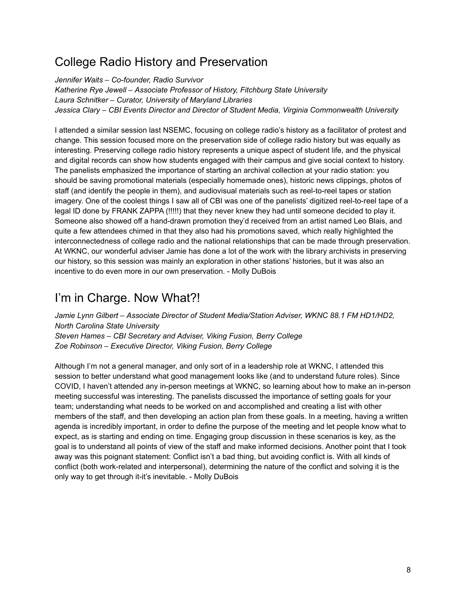### College Radio History and Preservation

 *Jennifer Waits – Co-founder, Radio Survivor*

 *Katherine Rye Jewell – Associate Professor of History, Fitchburg State University Laura Schnitker – Curator, University of Maryland Libraries Jessica Clary – CBI Events Director and Director of Student Media, Virginia Commonwealth University*

 I attended a similar session last NSEMC, focusing on college radio's history as a facilitator of protest and change. This session focused more on the preservation side of college radio history but was equally as interesting. Preserving college radio history represents a unique aspect of student life, and the physical and digital records can show how students engaged with their campus and give social context to history. The panelists emphasized the importance of starting an archival collection at your radio station: you should be saving promotional materials (especially homemade ones), historic news clippings, photos of staff (and identify the people in them), and audiovisual materials such as reel-to-reel tapes or station imagery. One of the coolest things I saw all of CBI was one of the panelists' digitized reel-to-reel tape of a legal ID done by FRANK ZAPPA (!!!!!) that they never knew they had until someone decided to play it. Someone also showed off a hand-drawn promotion they'd received from an artist named Leo Blais, and quite a few attendees chimed in that they also had his promotions saved, which really highlighted the interconnectedness of college radio and the national relationships that can be made through preservation. At WKNC, our wonderful adviser Jamie has done a lot of the work with the library archivists in preserving our history, so this session was mainly an exploration in other stations' histories, but it was also an incentive to do even more in our own preservation. - Molly DuBois

# I'm in Charge. Now What?!

 *Jamie Lynn Gilbert – Associate Director of Student Media/Station Adviser, WKNC 88.1 FM HD1/HD2, North Carolina State University Steven Hames – CBI Secretary and Adviser, Viking Fusion, Berry College Zoe Robinson – Executive Director, Viking Fusion, Berry College*

 Although I'm not a general manager, and only sort of in a leadership role at WKNC, I attended this session to better understand what good management looks like (and to understand future roles). Since COVID, I haven't attended any in-person meetings at WKNC, so learning about how to make an in-person meeting successful was interesting. The panelists discussed the importance of setting goals for your team; understanding what needs to be worked on and accomplished and creating a list with other members of the staff, and then developing an action plan from these goals. In a meeting, having a written agenda is incredibly important, in order to define the purpose of the meeting and let people know what to expect, as is starting and ending on time. Engaging group discussion in these scenarios is key, as the goal is to understand all points of view of the staff and make informed decisions. Another point that I took away was this poignant statement: Conflict isn't a bad thing, but avoiding conflict is. With all kinds of conflict (both work-related and interpersonal), determining the nature of the conflict and solving it is the only way to get through it-it's inevitable. - Molly DuBois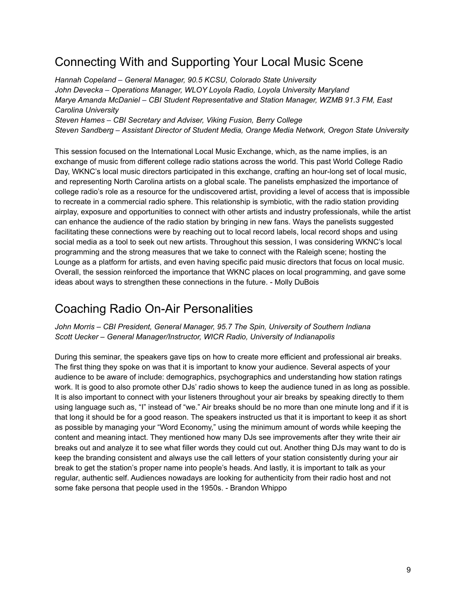### Connecting With and Supporting Your Local Music Scene

 *Hannah Copeland – General Manager, 90.5 KCSU, Colorado State University John Devecka – Operations Manager, WLOY Loyola Radio, Loyola University Maryland Marye Amanda McDaniel – CBI Student Representative and Station Manager, WZMB 91.3 FM, East Steven Hames – CBI Secretary and Adviser, Viking Fusion, Berry College Steven Sandberg – Assistant Director of Student Media, Orange Media Network, Oregon State University Carolina University*

 This session focused on the International Local Music Exchange, which, as the name implies, is an exchange of music from different college radio stations across the world. This past World College Radio Day, WKNC's local music directors participated in this exchange, crafting an hour-long set of local music, and representing North Carolina artists on a global scale. The panelists emphasized the importance of college radio's role as a resource for the undiscovered artist, providing a level of access that is impossible to recreate in a commercial radio sphere. This relationship is symbiotic, with the radio station providing airplay, exposure and opportunities to connect with other artists and industry professionals, while the artist can enhance the audience of the radio station by bringing in new fans. Ways the panelists suggested facilitating these connections were by reaching out to local record labels, local record shops and using social media as a tool to seek out new artists. Throughout this session, I was considering WKNC's local programming and the strong measures that we take to connect with the Raleigh scene; hosting the Lounge as a platform for artists, and even having specific paid music directors that focus on local music. Overall, the session reinforced the importance that WKNC places on local programming, and gave some ideas about ways to strengthen these connections in the future. - Molly DuBois

# Coaching Radio On-Air Personalities

 *John Morris – CBI President, General Manager, 95.7 The Spin, University of Southern Indiana Scott Uecker – General Manager/Instructor, WICR Radio, University of Indianapolis*

 During this seminar, the speakers gave tips on how to create more efficient and professional air breaks. The first thing they spoke on was that it is important to know your audience. Several aspects of your audience to be aware of include: demographics, psychographics and understanding how station ratings work. It is good to also promote other DJs' radio shows to keep the audience tuned in as long as possible. It is also important to connect with your listeners throughout your air breaks by speaking directly to them using language such as, "I" instead of "we." Air breaks should be no more than one minute long and if it is that long it should be for a good reason. The speakers instructed us that it is important to keep it as short as possible by managing your "Word Economy," using the minimum amount of words while keeping the content and meaning intact. They mentioned how many DJs see improvements after they write their air breaks out and analyze it to see what filler words they could cut out. Another thing DJs may want to do is keep the branding consistent and always use the call letters of your station consistently during your air break to get the station's proper name into people's heads. And lastly, it is important to talk as your regular, authentic self. Audiences nowadays are looking for authenticity from their radio host and not some fake persona that people used in the 1950s. - Brandon Whippo